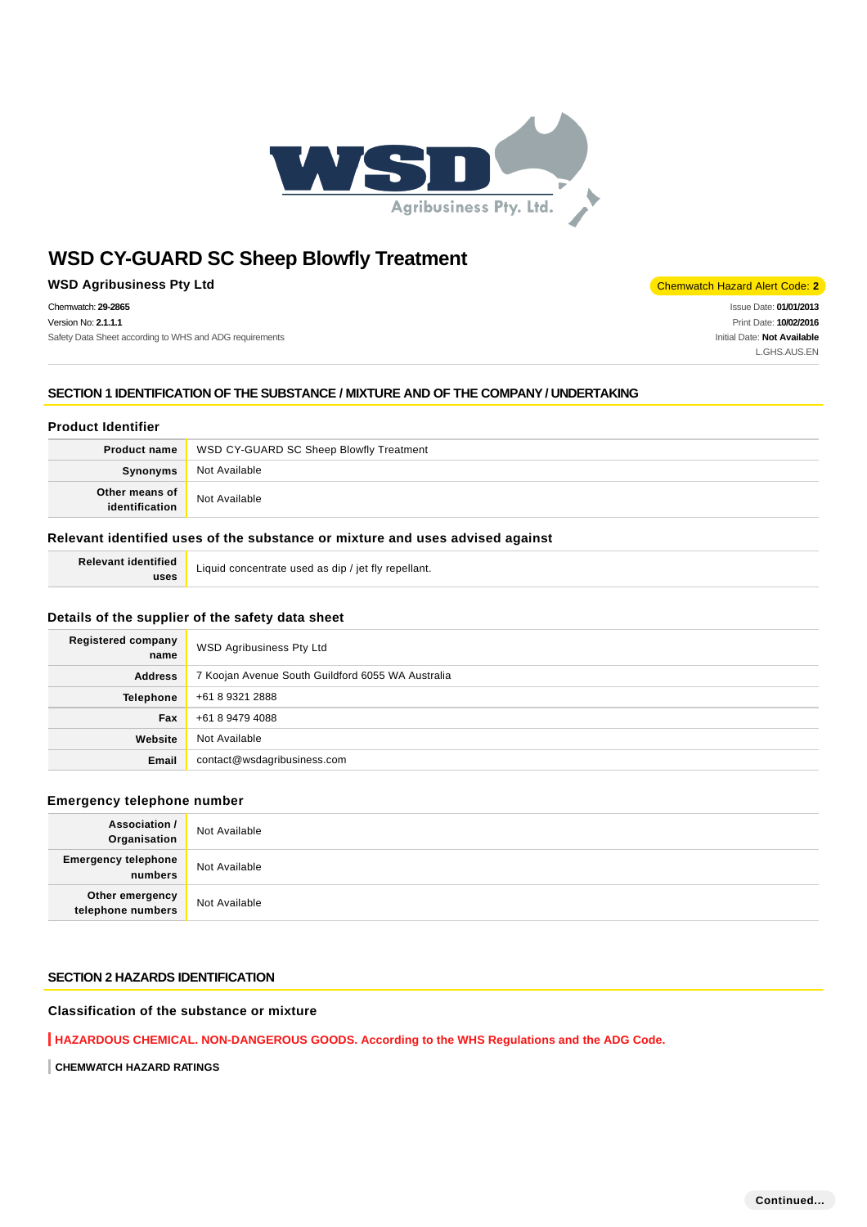

**WSD Agribusiness Pty Ltd** Chemwatch Hazard Alert Code: 2

Chemwatch: **29-2865** Version No: **2.1.1.1**

Safety Data Sheet according to WHS and ADG requirements

Issue Date: **01/01/2013** Print Date: **10/02/2016** Initial Date: **Not Available** L.GHS.AUS.EN

**SECTION 1 IDENTIFICATION OF THE SUBSTANCE / MIXTURE AND OF THE COMPANY / UNDERTAKING**

# **Product Identifier**

|                | <b>Product name</b> WSD CY-GUARD SC Sheep Blowfly Treatment |
|----------------|-------------------------------------------------------------|
| Synonyms       | Not Available                                               |
| Other means of | Not Available                                               |

### **Relevant identified uses of the substance or mixture and uses advised against**

**Relevant identified uses**

Liquid concentrate used as dip / jet fly repellant.

### **Details of the supplier of the safety data sheet**

| <b>Registered company</b><br>name | WSD Agribusiness Pty Ltd                          |
|-----------------------------------|---------------------------------------------------|
| <b>Address</b>                    | 7 Koojan Avenue South Guildford 6055 WA Australia |
| <b>Telephone</b>                  | +61 8 9321 2888                                   |
| Fax                               | +61 8 9479 4088                                   |
| Website                           | Not Available                                     |
| Email                             | contact@wsdagribusiness.com                       |

### **Emergency telephone number**

| <b>Association /</b><br>Organisation    | Not Available |
|-----------------------------------------|---------------|
| <b>Emergency telephone</b><br>  numbers | Not Available |
| Other emergency<br>telephone numbers    | Not Available |

### **SECTION 2 HAZARDS IDENTIFICATION**

# **Classification of the substance or mixture**

**HAZARDOUS CHEMICAL. NON-DANGEROUS GOODS. According to the WHS Regulations and the ADG Code.**

**CHEMWATCH HAZARD RATINGS**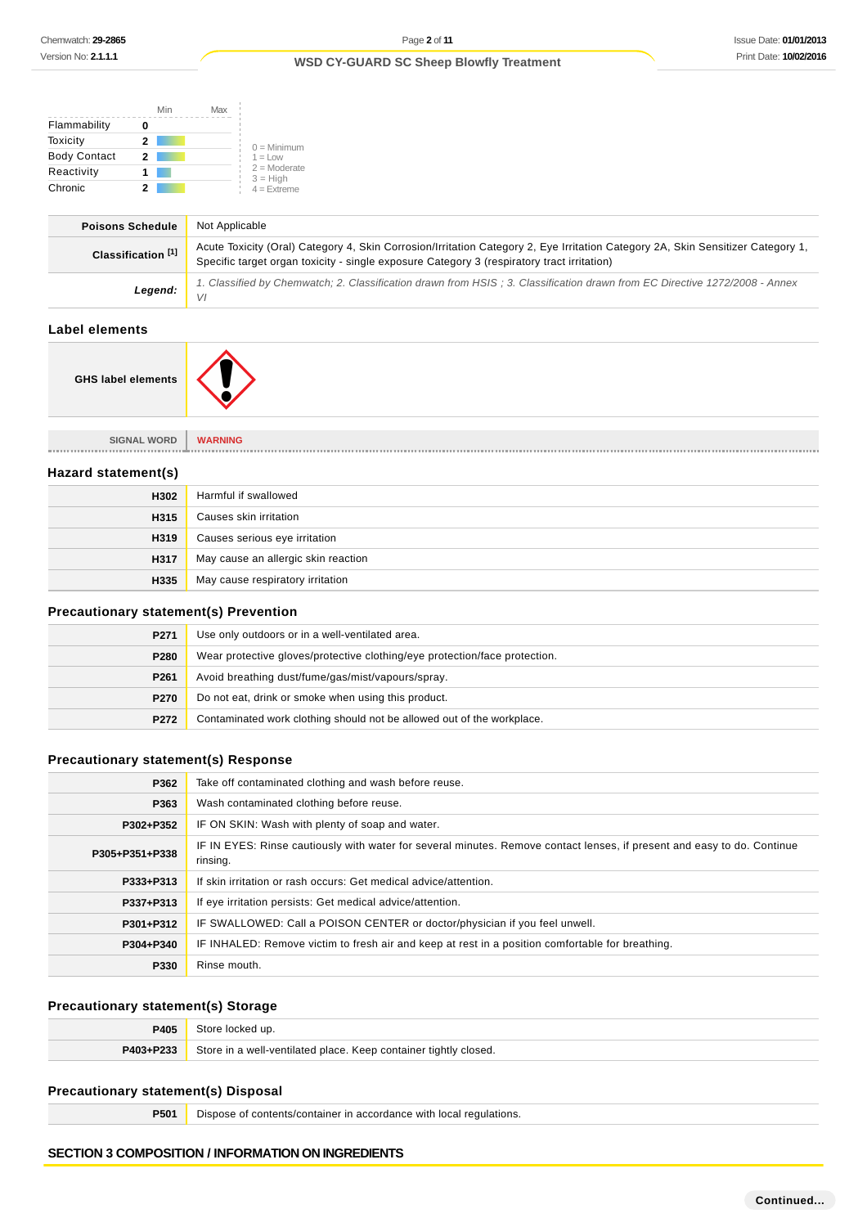|                     | Min | Max |                              |
|---------------------|-----|-----|------------------------------|
| Flammability        |     |     |                              |
| Toxicity            | 2   |     | $0 =$ Minimum                |
| <b>Body Contact</b> | 2   |     | $1 = 1$ $\Omega$             |
| Reactivity          |     |     | $2 =$ Moderate<br>$3 = High$ |
| Chronic             |     |     | $4 =$ Extreme                |

| <b>Poisons Schedule</b>       | Not Applicable                                                                                                                                                                                                                |
|-------------------------------|-------------------------------------------------------------------------------------------------------------------------------------------------------------------------------------------------------------------------------|
| Classification <sup>[1]</sup> | Acute Toxicity (Oral) Category 4, Skin Corrosion/Irritation Category 2, Eye Irritation Category 2A, Skin Sensitizer Category 1,<br>Specific target organ toxicity - single exposure Category 3 (respiratory tract irritation) |
| Legend:                       | 1. Classified by Chemwatch; 2. Classification drawn from HSIS; 3. Classification drawn from EC Directive 1272/2008 - Annex<br>VI                                                                                              |
|                               |                                                                                                                                                                                                                               |

# **Label elements**

**GHS label elements**

**SIGNAL WORD WARNING**

#### **Hazard statement(s)**

| H302 | Harmful if swallowed                |
|------|-------------------------------------|
| H315 | Causes skin irritation              |
| H319 | Causes serious eye irritation       |
| H317 | May cause an allergic skin reaction |
| H335 | May cause respiratory irritation    |

# **Precautionary statement(s) Prevention**

| P <sub>271</sub> | Use only outdoors or in a well-ventilated area.                            |
|------------------|----------------------------------------------------------------------------|
| P <sub>280</sub> | Wear protective gloves/protective clothing/eye protection/face protection. |
| P <sub>261</sub> | Avoid breathing dust/fume/gas/mist/vapours/spray.                          |
| P <sub>270</sub> | Do not eat, drink or smoke when using this product.                        |
| P272             | Contaminated work clothing should not be allowed out of the workplace.     |

# **Precautionary statement(s) Response**

| P362           | Take off contaminated clothing and wash before reuse.                                                                               |
|----------------|-------------------------------------------------------------------------------------------------------------------------------------|
| P363           | Wash contaminated clothing before reuse.                                                                                            |
| P302+P352      | IF ON SKIN: Wash with plenty of soap and water.                                                                                     |
| P305+P351+P338 | IF IN EYES: Rinse cautiously with water for several minutes. Remove contact lenses, if present and easy to do. Continue<br>rinsing. |
| P333+P313      | If skin irritation or rash occurs: Get medical advice/attention.                                                                    |
| P337+P313      | If eye irritation persists: Get medical advice/attention.                                                                           |
| P301+P312      | IF SWALLOWED: Call a POISON CENTER or doctor/physician if you feel unwell.                                                          |
| P304+P340      | IF INHALED: Remove victim to fresh air and keep at rest in a position comfortable for breathing.                                    |
| P330           | Rinse mouth.                                                                                                                        |

# **Precautionary statement(s) Storage**

| P405      | Store locked up.                                                 |
|-----------|------------------------------------------------------------------|
| P403+P233 | Store in a well-ventilated place. Keep container tightly closed. |

# **Precautionary statement(s) Disposal**

**P501** Dispose of contents/container in accordance with local regulations.

### **SECTION 3 COMPOSITION / INFORMATION ON INGREDIENTS**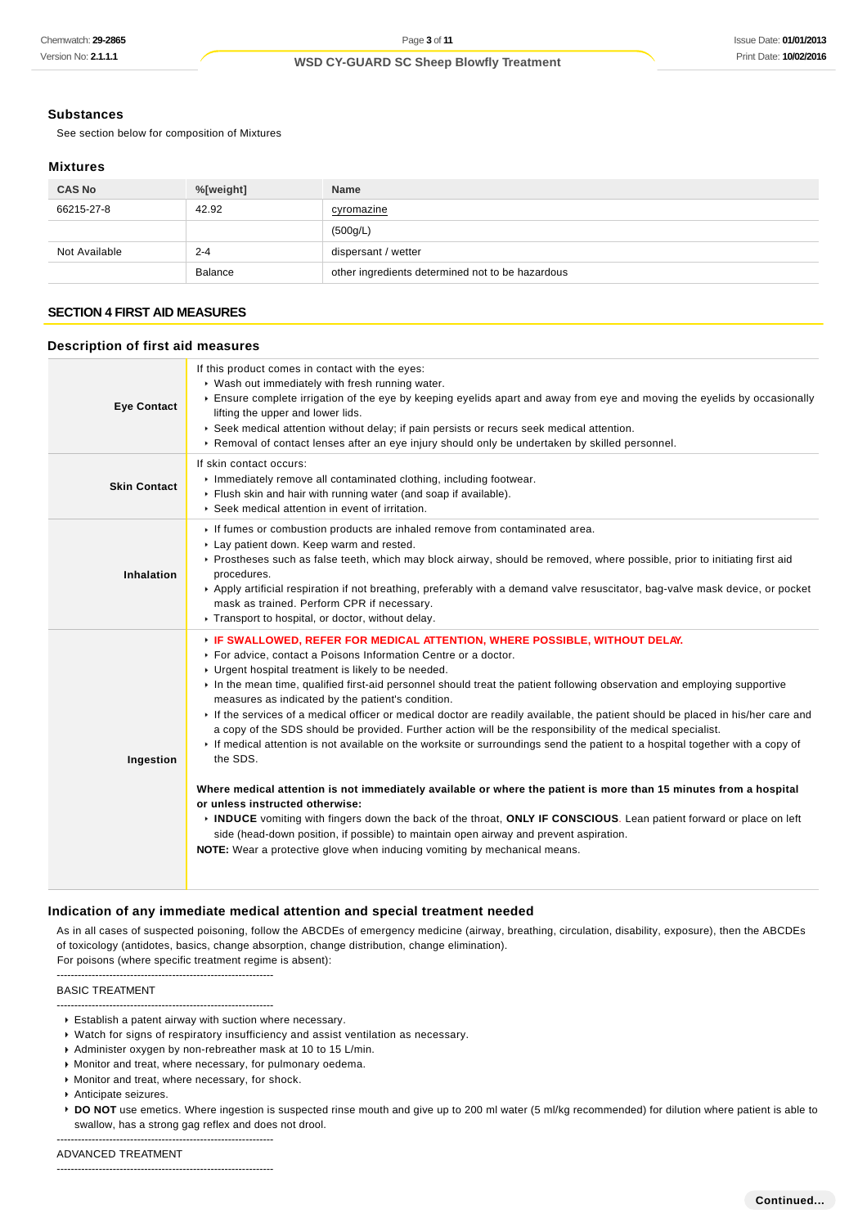### **Substances**

See section below for composition of Mixtures

#### **Mixtures**

| <b>CAS No</b> | %[weight]      | <b>Name</b>                                      |
|---------------|----------------|--------------------------------------------------|
| 66215-27-8    | 42.92          | cyromazine                                       |
|               |                | (500g/L)                                         |
| Not Available | $2 - 4$        | dispersant / wetter                              |
|               | <b>Balance</b> | other ingredients determined not to be hazardous |

# **SECTION 4 FIRST AID MEASURES**

### **Description of first aid measures**

| <b>Eye Contact</b>  | If this product comes in contact with the eyes:<br>▶ Wash out immediately with fresh running water.<br>Ensure complete irrigation of the eye by keeping eyelids apart and away from eye and moving the eyelids by occasionally<br>lifting the upper and lower lids.<br>▶ Seek medical attention without delay; if pain persists or recurs seek medical attention.<br>▶ Removal of contact lenses after an eye injury should only be undertaken by skilled personnel.                                                                                                                                                                                                                                                                                                                                                                                                                                                                                                                                                                                                                                                                                                                                                                              |
|---------------------|---------------------------------------------------------------------------------------------------------------------------------------------------------------------------------------------------------------------------------------------------------------------------------------------------------------------------------------------------------------------------------------------------------------------------------------------------------------------------------------------------------------------------------------------------------------------------------------------------------------------------------------------------------------------------------------------------------------------------------------------------------------------------------------------------------------------------------------------------------------------------------------------------------------------------------------------------------------------------------------------------------------------------------------------------------------------------------------------------------------------------------------------------------------------------------------------------------------------------------------------------|
| <b>Skin Contact</b> | If skin contact occurs:<br>Immediately remove all contaminated clothing, including footwear.<br>Flush skin and hair with running water (and soap if available).<br>Seek medical attention in event of irritation.                                                                                                                                                                                                                                                                                                                                                                                                                                                                                                                                                                                                                                                                                                                                                                                                                                                                                                                                                                                                                                 |
| Inhalation          | If fumes or combustion products are inhaled remove from contaminated area.<br>Lay patient down. Keep warm and rested.<br>▶ Prostheses such as false teeth, which may block airway, should be removed, where possible, prior to initiating first aid<br>procedures.<br>▶ Apply artificial respiration if not breathing, preferably with a demand valve resuscitator, bag-valve mask device, or pocket<br>mask as trained. Perform CPR if necessary.<br>Transport to hospital, or doctor, without delay.                                                                                                                                                                                                                                                                                                                                                                                                                                                                                                                                                                                                                                                                                                                                            |
| Ingestion           | <b>FIF SWALLOWED, REFER FOR MEDICAL ATTENTION, WHERE POSSIBLE, WITHOUT DELAY.</b><br>For advice, contact a Poisons Information Centre or a doctor.<br>• Urgent hospital treatment is likely to be needed.<br>In the mean time, qualified first-aid personnel should treat the patient following observation and employing supportive<br>measures as indicated by the patient's condition.<br>If the services of a medical officer or medical doctor are readily available, the patient should be placed in his/her care and<br>a copy of the SDS should be provided. Further action will be the responsibility of the medical specialist.<br>If medical attention is not available on the worksite or surroundings send the patient to a hospital together with a copy of<br>the SDS.<br>Where medical attention is not immediately available or where the patient is more than 15 minutes from a hospital<br>or unless instructed otherwise:<br>INDUCE vomiting with fingers down the back of the throat, ONLY IF CONSCIOUS. Lean patient forward or place on left<br>side (head-down position, if possible) to maintain open airway and prevent aspiration.<br><b>NOTE:</b> Wear a protective glove when inducing vomiting by mechanical means. |

#### **Indication of any immediate medical attention and special treatment needed**

As in all cases of suspected poisoning, follow the ABCDEs of emergency medicine (airway, breathing, circulation, disability, exposure), then the ABCDEs of toxicology (antidotes, basics, change absorption, change distribution, change elimination).

For poisons (where specific treatment regime is absent): --------------------------------------------------------------

#### BASIC TREATMENT

--------------------------------------------------------------

- Anticipate seizures.
- ▶ **DO NOT** use emetics. Where ingestion is suspected rinse mouth and give up to 200 ml water (5 ml/kg recommended) for dilution where patient is able to swallow, has a strong gag reflex and does not drool.

ADVANCED TREATMENT

<sup>--------------------------------------------------------------</sup>

Establish a patent airway with suction where necessary.

Watch for signs of respiratory insufficiency and assist ventilation as necessary.

Administer oxygen by non-rebreather mask at 10 to 15 L/min.

Monitor and treat, where necessary, for pulmonary oedema.

**Monitor and treat, where necessary, for shock.** 

<sup>--------------------------------------------------------------</sup>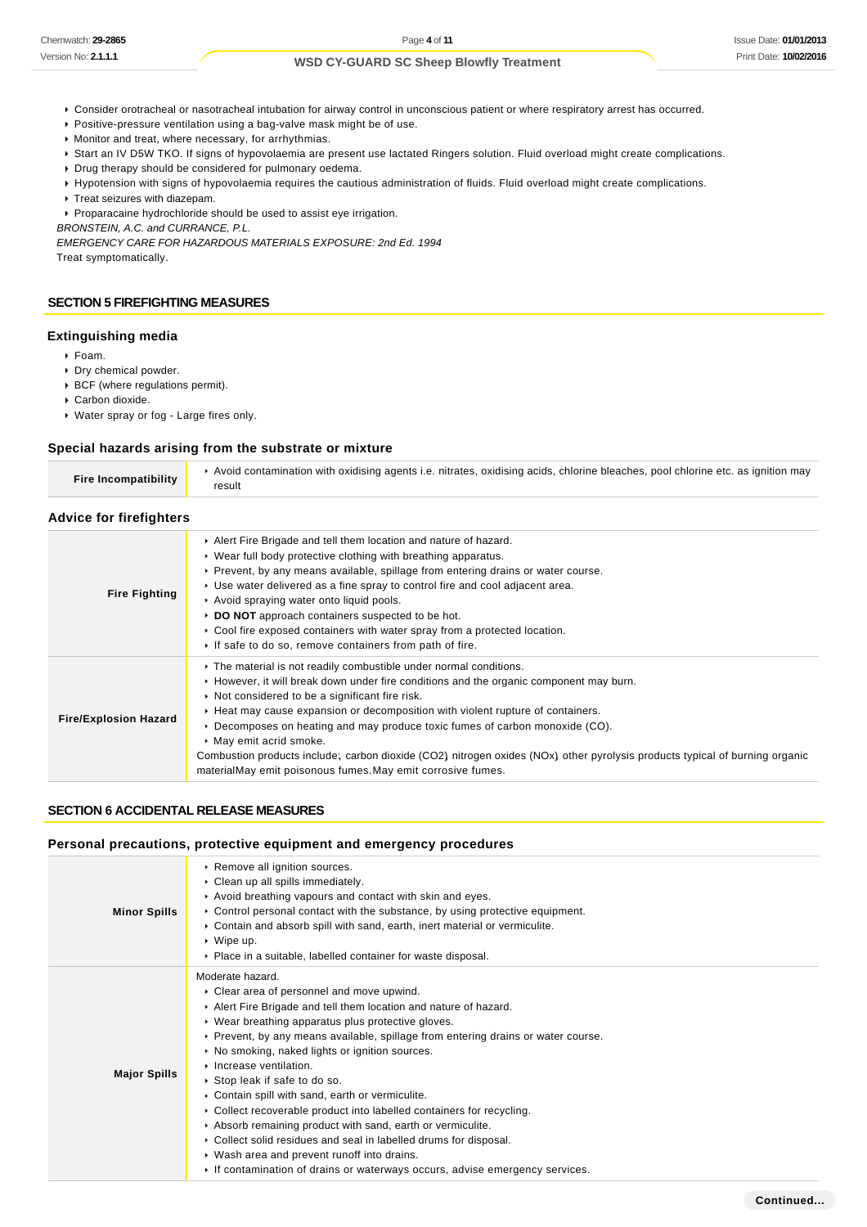- Consider orotracheal or nasotracheal intubation for airway control in unconscious patient or where respiratory arrest has occurred.
- Positive-pressure ventilation using a bag-valve mask might be of use.
- Monitor and treat, where necessary, for arrhythmias.
- Start an IV D5W TKO. If signs of hypovolaemia are present use lactated Ringers solution. Fluid overload might create complications.
- Drug therapy should be considered for pulmonary oedema.
- Hypotension with signs of hypovolaemia requires the cautious administration of fluids. Fluid overload might create complications.
- Treat seizures with diazepam.
- Proparacaine hydrochloride should be used to assist eye irrigation.

BRONSTEIN, A.C. and CURRANCE, P.L.

EMERGENCY CARE FOR HAZARDOUS MATERIALS EXPOSURE: 2nd Ed. 1994 Treat symptomatically.

# **SECTION 5 FIREFIGHTING MEASURES**

# **Extinguishing media**

- Foam.
- Dry chemical powder.
- BCF (where regulations permit).
- Carbon dioxide.
- Water spray or fog Large fires only.

# **Special hazards arising from the substrate or mixture**

| Fire Incompatibility | Avoid contamination with oxidising agents i.e. nitrates, oxidising acids, chlorine bleaches, pool chlorine etc. as ignition may<br>result |
|----------------------|-------------------------------------------------------------------------------------------------------------------------------------------|
|                      |                                                                                                                                           |

# **Advice for firefighters**

| <b>Fire Fighting</b>         | Alert Fire Brigade and tell them location and nature of hazard.<br>▶ Wear full body protective clothing with breathing apparatus.<br>► Prevent, by any means available, spillage from entering drains or water course.<br>► Use water delivered as a fine spray to control fire and cool adjacent area.<br>Avoid spraying water onto liquid pools.<br>▶ DO NOT approach containers suspected to be hot.<br>► Cool fire exposed containers with water spray from a protected location.<br>If safe to do so, remove containers from path of fire.                                                          |
|------------------------------|----------------------------------------------------------------------------------------------------------------------------------------------------------------------------------------------------------------------------------------------------------------------------------------------------------------------------------------------------------------------------------------------------------------------------------------------------------------------------------------------------------------------------------------------------------------------------------------------------------|
| <b>Fire/Explosion Hazard</b> | The material is not readily combustible under normal conditions.<br>► However, it will break down under fire conditions and the organic component may burn.<br>▶ Not considered to be a significant fire risk.<br>► Heat may cause expansion or decomposition with violent rupture of containers.<br>► Decomposes on heating and may produce toxic fumes of carbon monoxide (CO).<br>May emit acrid smoke.<br>Combustion products include; carbon dioxide (CO2) nitrogen oxides (NOx) other pyrolysis products typical of burning organic<br>materialMay emit poisonous fumes. May emit corrosive fumes. |

# **SECTION 6 ACCIDENTAL RELEASE MEASURES**

|  |  |  |  | Personal precautions, protective equipment and emergency procedures |  |
|--|--|--|--|---------------------------------------------------------------------|--|
|--|--|--|--|---------------------------------------------------------------------|--|

| <b>Minor Spills</b> | ▶ Remove all ignition sources.<br>Clean up all spills immediately.<br>Avoid breathing vapours and contact with skin and eyes.<br>$\triangleright$ Control personal contact with the substance, by using protective equipment.<br>► Contain and absorb spill with sand, earth, inert material or vermiculite.<br>$\triangleright$ Wipe up.<br>• Place in a suitable, labelled container for waste disposal.                                                                                                                                                                                                                                                                                                                                                                            |
|---------------------|---------------------------------------------------------------------------------------------------------------------------------------------------------------------------------------------------------------------------------------------------------------------------------------------------------------------------------------------------------------------------------------------------------------------------------------------------------------------------------------------------------------------------------------------------------------------------------------------------------------------------------------------------------------------------------------------------------------------------------------------------------------------------------------|
| <b>Major Spills</b> | Moderate hazard.<br>• Clear area of personnel and move upwind.<br>Alert Fire Brigade and tell them location and nature of hazard.<br>• Wear breathing apparatus plus protective gloves.<br>► Prevent, by any means available, spillage from entering drains or water course.<br>• No smoking, naked lights or ignition sources.<br>Increase ventilation.<br>▶ Stop leak if safe to do so.<br>• Contain spill with sand, earth or vermiculite.<br>• Collect recoverable product into labelled containers for recycling.<br>Absorb remaining product with sand, earth or vermiculite.<br>▶ Collect solid residues and seal in labelled drums for disposal.<br>• Wash area and prevent runoff into drains.<br>If contamination of drains or waterways occurs, advise emergency services. |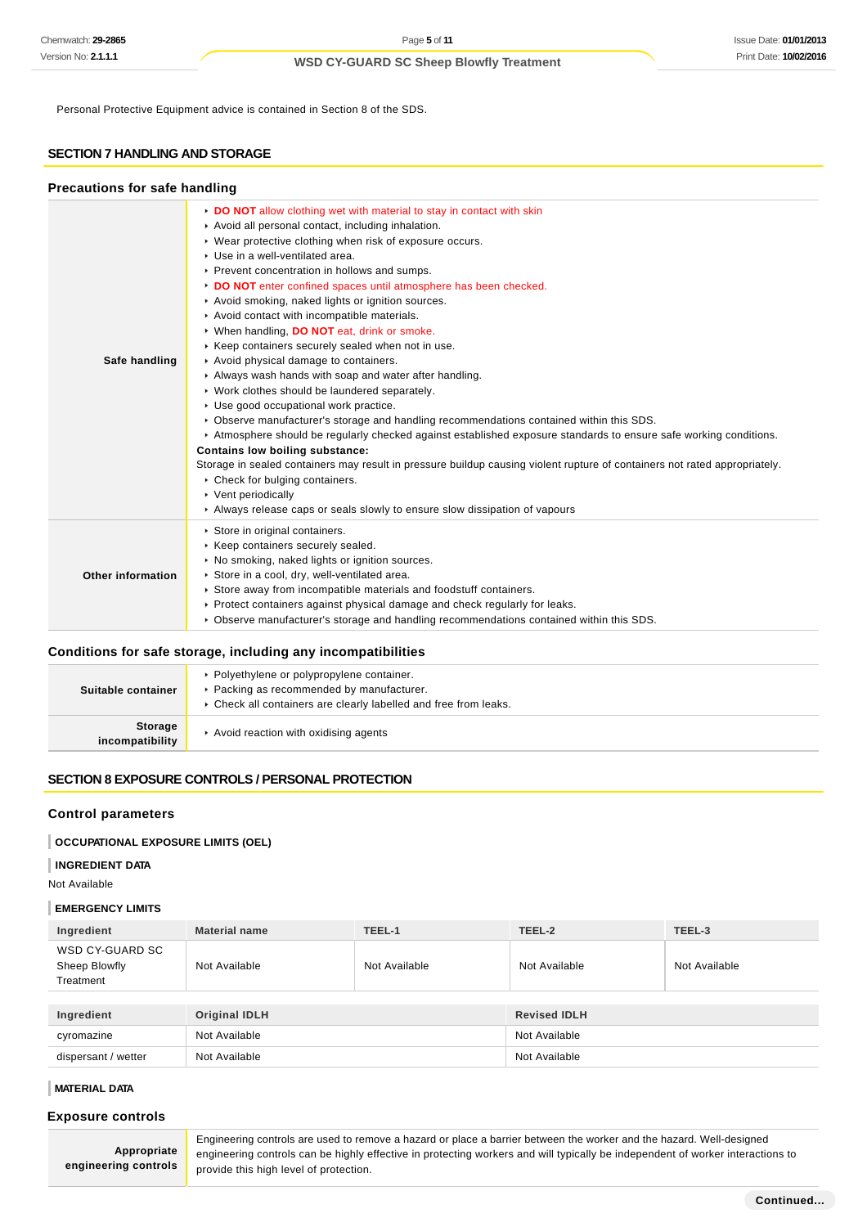Personal Protective Equipment advice is contained in Section 8 of the SDS.

# **SECTION 7 HANDLING AND STORAGE**

### **Precautions for safe handling**

| DO NOT allow clothing wet with material to stay in contact with skin<br>Avoid all personal contact, including inhalation.<br>• Wear protective clothing when risk of exposure occurs.<br>Use in a well-ventilated area.<br>▶ Prevent concentration in hollows and sumps.<br>DO NOT enter confined spaces until atmosphere has been checked.<br>Avoid smoking, naked lights or ignition sources.<br>Avoid contact with incompatible materials.<br>▶ When handling, DO NOT eat, drink or smoke.<br>Keep containers securely sealed when not in use.<br>Safe handling<br>Avoid physical damage to containers.<br>Always wash hands with soap and water after handling.<br>• Work clothes should be laundered separately.<br>Use good occupational work practice.<br>► Observe manufacturer's storage and handling recommendations contained within this SDS.<br>Atmosphere should be regularly checked against established exposure standards to ensure safe working conditions.<br>Contains low boiling substance:<br>Storage in sealed containers may result in pressure buildup causing violent rupture of containers not rated appropriately.<br>▶ Check for bulging containers.<br>▶ Vent periodically<br>Always release caps or seals slowly to ensure slow dissipation of vapours<br>Store in original containers.<br>Keep containers securely sealed.<br>▶ No smoking, naked lights or ignition sources.<br>Store in a cool, dry, well-ventilated area.<br>Other information<br>Store away from incompatible materials and foodstuff containers.<br>▶ Protect containers against physical damage and check regularly for leaks. |  |
|--------------------------------------------------------------------------------------------------------------------------------------------------------------------------------------------------------------------------------------------------------------------------------------------------------------------------------------------------------------------------------------------------------------------------------------------------------------------------------------------------------------------------------------------------------------------------------------------------------------------------------------------------------------------------------------------------------------------------------------------------------------------------------------------------------------------------------------------------------------------------------------------------------------------------------------------------------------------------------------------------------------------------------------------------------------------------------------------------------------------------------------------------------------------------------------------------------------------------------------------------------------------------------------------------------------------------------------------------------------------------------------------------------------------------------------------------------------------------------------------------------------------------------------------------------------------------------------------------------------------------------------|--|
|                                                                                                                                                                                                                                                                                                                                                                                                                                                                                                                                                                                                                                                                                                                                                                                                                                                                                                                                                                                                                                                                                                                                                                                                                                                                                                                                                                                                                                                                                                                                                                                                                                      |  |
| ▶ Observe manufacturer's storage and handling recommendations contained within this SDS.                                                                                                                                                                                                                                                                                                                                                                                                                                                                                                                                                                                                                                                                                                                                                                                                                                                                                                                                                                                                                                                                                                                                                                                                                                                                                                                                                                                                                                                                                                                                             |  |

# **Conditions for safe storage, including any incompatibilities**

| Suitable container         | • Polyethylene or polypropylene container.<br>▶ Packing as recommended by manufacturer.<br>• Check all containers are clearly labelled and free from leaks. |
|----------------------------|-------------------------------------------------------------------------------------------------------------------------------------------------------------|
| Storage<br>incompatibility | Avoid reaction with oxidising agents                                                                                                                        |

# **SECTION 8 EXPOSURE CONTROLS / PERSONAL PROTECTION**

### **Control parameters**

# **OCCUPATIONAL EXPOSURE LIMITS (OEL)**

### **INGREDIENT DATA**

Not Available

### **EMERGENCY LIMITS**

| Ingredient                                    | <b>Material name</b> | TEEL-1        | TEEL-2              | TEEL-3        |
|-----------------------------------------------|----------------------|---------------|---------------------|---------------|
| WSD CY-GUARD SC<br>Sheep Blowfly<br>Treatment | Not Available        | Not Available | Not Available       | Not Available |
|                                               |                      |               |                     |               |
| Ingredient                                    | <b>Original IDLH</b> |               | <b>Revised IDLH</b> |               |
| cyromazine                                    | Not Available        |               | Not Available       |               |
| dispersant / wetter                           | Not Available        |               | Not Available       |               |

#### **MATERIAL DATA**

# **Exposure controls**

**Appropriate engineering controls**

Engineering controls are used to remove a hazard or place a barrier between the worker and the hazard. Well-designed engineering controls can be highly effective in protecting workers and will typically be independent of worker interactions to provide this high level of protection.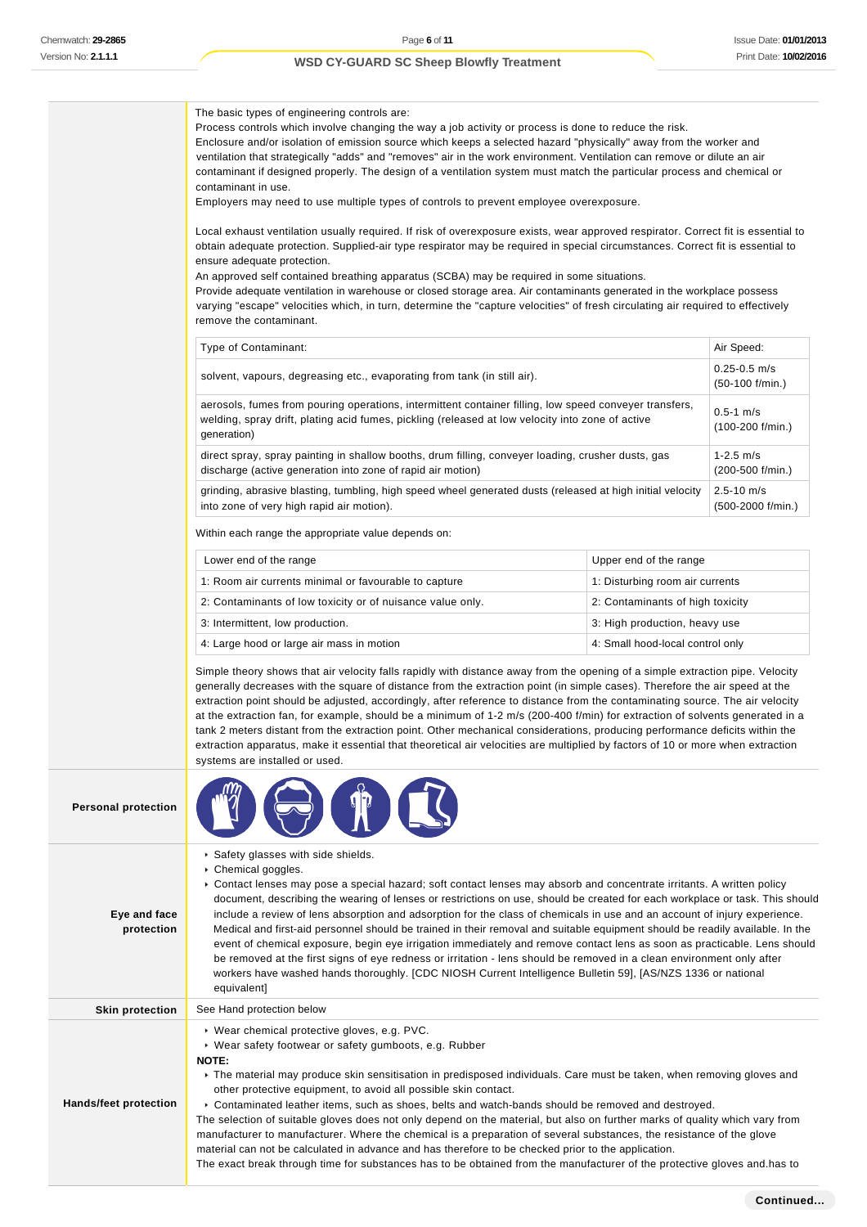The basic types of engineering controls are: Process controls which involve changing the way a job activity or process is done to reduce the risk. Enclosure and/or isolation of emission source which keeps a selected hazard "physically" away from the worker and ventilation that strategically "adds" and "removes" air in the work environment. Ventilation can remove or dilute an air contaminant if designed properly. The design of a ventilation system must match the particular process and chemical or contaminant in use. Employers may need to use multiple types of controls to prevent employee overexposure. Local exhaust ventilation usually required. If risk of overexposure exists, wear approved respirator. Correct fit is essential to obtain adequate protection. Supplied-air type respirator may be required in special circumstances. Correct fit is essential to ensure adequate protection. An approved self contained breathing apparatus (SCBA) may be required in some situations. Provide adequate ventilation in warehouse or closed storage area. Air contaminants generated in the workplace possess varying "escape" velocities which, in turn, determine the "capture velocities" of fresh circulating air required to effectively remove the contaminant. Type of Contaminant: Air Speed: Air Speed: Air Speed: Air Speed: Air Speed: Air Speed: Air Speed: Air Speed: Air Speed: Air Speed: Air Speed: Air Speed: Air Speed: Air Speed: Air Speed: Air Speed: Air Speed: Air Speed: Air solvent, vapours, degreasing etc., evaporating from tank (in still air). 0.25-0.5 m/s (50-100 f/min.) aerosols, fumes from pouring operations, intermittent container filling, low speed conveyer transfers, welding, spray drift, plating acid fumes, pickling (released at low velocity into zone of active generation) 0.5-1 m/s (100-200 f/min.) direct spray, spray painting in shallow booths, drum filling, conveyer loading, crusher dusts, gas discharge (active generation into zone of rapid air motion) 1-2.5 m/s (200-500 f/min.) grinding, abrasive blasting, tumbling, high speed wheel generated dusts (released at high initial velocity into zone of very high rapid air motion). 2.5-10 m/s (500-2000 f/min.) Within each range the appropriate value depends on: Lower end of the range **Lower end of the range** Upper end of the range 1: Room air currents minimal or favourable to capture 1: 1: Disturbing room air currents 2: Contaminants of low toxicity or of nuisance value only. 2: Contaminants of high toxicity 3: Intermittent, low production.  $\Box$  3: High production, heavy use 4: Large hood or large air mass in motion 4: Small hood-local control only Simple theory shows that air velocity falls rapidly with distance away from the opening of a simple extraction pipe. Velocity generally decreases with the square of distance from the extraction point (in simple cases). Therefore the air speed at the extraction point should be adjusted, accordingly, after reference to distance from the contaminating source. The air velocity at the extraction fan, for example, should be a minimum of 1-2 m/s (200-400 f/min) for extraction of solvents generated in a tank 2 meters distant from the extraction point. Other mechanical considerations, producing performance deficits within the extraction apparatus, make it essential that theoretical air velocities are multiplied by factors of 10 or more when extraction systems are installed or used. **Personal protection Eye and face protection** ▶ Safety glasses with side shields. ▶ Chemical goggles. Contact lenses may pose a special hazard; soft contact lenses may absorb and concentrate irritants. A written policy document, describing the wearing of lenses or restrictions on use, should be created for each workplace or task. This should include a review of lens absorption and adsorption for the class of chemicals in use and an account of injury experience. Medical and first-aid personnel should be trained in their removal and suitable equipment should be readily available. In the event of chemical exposure, begin eye irrigation immediately and remove contact lens as soon as practicable. Lens should be removed at the first signs of eye redness or irritation - lens should be removed in a clean environment only after workers have washed hands thoroughly. [CDC NIOSH Current Intelligence Bulletin 59], [AS/NZS 1336 or national equivalent] **Skin protection** See Hand protection below **Hands/feet protection** Wear chemical protective gloves, e.g. PVC. Wear safety footwear or safety gumboots, e.g. Rubber **NOTE:** The material may produce skin sensitisation in predisposed individuals. Care must be taken, when removing gloves and other protective equipment, to avoid all possible skin contact. Contaminated leather items, such as shoes, belts and watch-bands should be removed and destroyed.

> The selection of suitable gloves does not only depend on the material, but also on further marks of quality which vary from manufacturer to manufacturer. Where the chemical is a preparation of several substances, the resistance of the glove

material can not be calculated in advance and has therefore to be checked prior to the application.

The exact break through time for substances has to be obtained from the manufacturer of the protective gloves and.has to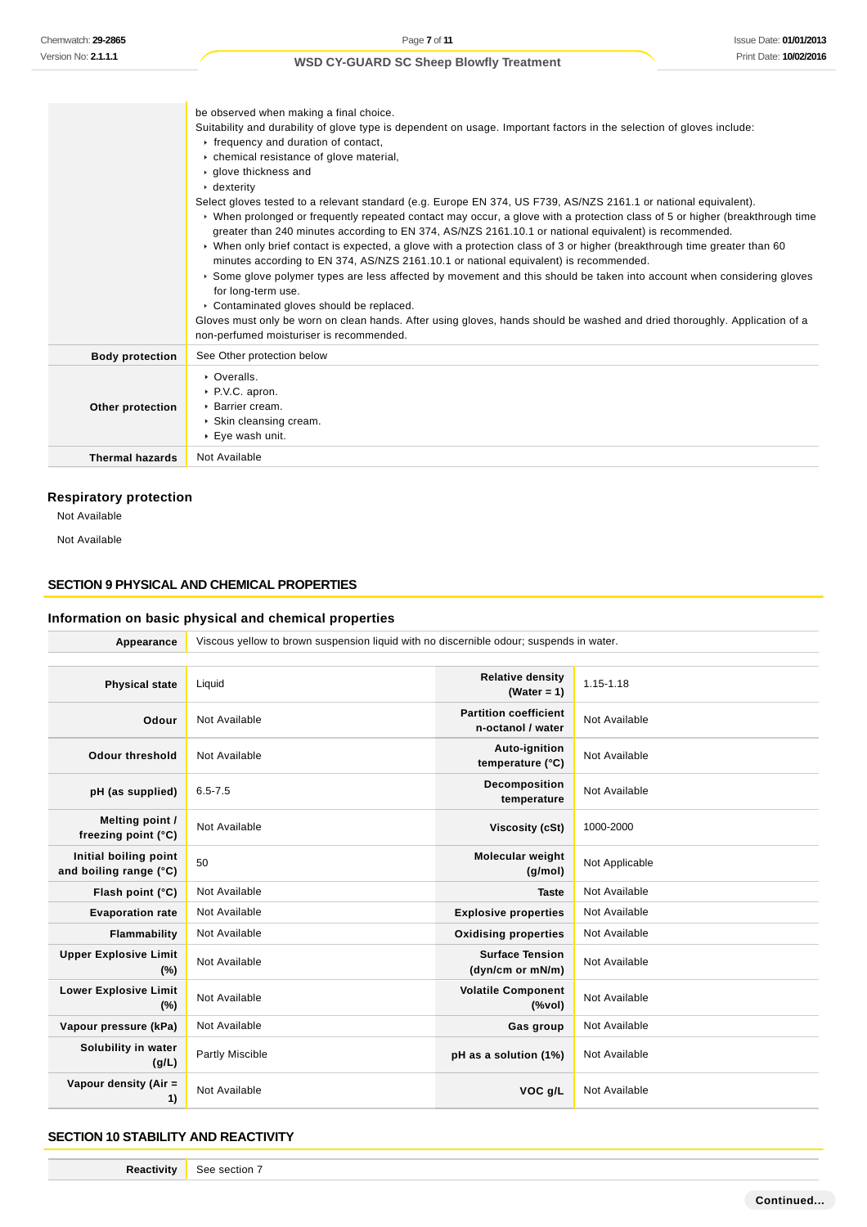|                        | be observed when making a final choice.<br>Suitability and durability of glove type is dependent on usage. Important factors in the selection of gloves include:<br>Firequency and duration of contact,<br>• chemical resistance of glove material,<br>▶ glove thickness and<br>$\cdot$ dexterity<br>Select gloves tested to a relevant standard (e.g. Europe EN 374, US F739, AS/NZS 2161.1 or national equivalent).<br>▶ When prolonged or frequently repeated contact may occur, a glove with a protection class of 5 or higher (breakthrough time<br>greater than 240 minutes according to EN 374, AS/NZS 2161.10.1 or national equivalent) is recommended.<br>• When only brief contact is expected, a glove with a protection class of 3 or higher (breakthrough time greater than 60<br>minutes according to EN 374, AS/NZS 2161.10.1 or national equivalent) is recommended.<br>Some glove polymer types are less affected by movement and this should be taken into account when considering gloves<br>for long-term use.<br>• Contaminated gloves should be replaced.<br>Gloves must only be worn on clean hands. After using gloves, hands should be washed and dried thoroughly. Application of a<br>non-perfumed moisturiser is recommended. |
|------------------------|-----------------------------------------------------------------------------------------------------------------------------------------------------------------------------------------------------------------------------------------------------------------------------------------------------------------------------------------------------------------------------------------------------------------------------------------------------------------------------------------------------------------------------------------------------------------------------------------------------------------------------------------------------------------------------------------------------------------------------------------------------------------------------------------------------------------------------------------------------------------------------------------------------------------------------------------------------------------------------------------------------------------------------------------------------------------------------------------------------------------------------------------------------------------------------------------------------------------------------------------------------------|
| <b>Body protection</b> | See Other protection below                                                                                                                                                                                                                                                                                                                                                                                                                                                                                                                                                                                                                                                                                                                                                                                                                                                                                                                                                                                                                                                                                                                                                                                                                                |
| Other protection       | • Overalls.<br>▶ P.V.C. apron.<br>▶ Barrier cream.<br>▶ Skin cleansing cream.<br>▶ Eye wash unit.                                                                                                                                                                                                                                                                                                                                                                                                                                                                                                                                                                                                                                                                                                                                                                                                                                                                                                                                                                                                                                                                                                                                                         |
| <b>Thermal hazards</b> | Not Available                                                                                                                                                                                                                                                                                                                                                                                                                                                                                                                                                                                                                                                                                                                                                                                                                                                                                                                                                                                                                                                                                                                                                                                                                                             |

# **Respiratory protection**

Not Available

Not Available

# **SECTION 9 PHYSICAL AND CHEMICAL PROPERTIES**

# **Information on basic physical and chemical properties**

| Appearance                                      | Viscous yellow to brown suspension liquid with no discernible odour; suspends in water. |                                                   |                |
|-------------------------------------------------|-----------------------------------------------------------------------------------------|---------------------------------------------------|----------------|
|                                                 |                                                                                         |                                                   |                |
| <b>Physical state</b>                           | Liquid                                                                                  | <b>Relative density</b><br>(Water = $1$ )         | 1.15-1.18      |
| Odour                                           | Not Available                                                                           | <b>Partition coefficient</b><br>n-octanol / water | Not Available  |
| <b>Odour threshold</b>                          | Not Available                                                                           | Auto-ignition<br>temperature (°C)                 | Not Available  |
| pH (as supplied)                                | $6.5 - 7.5$                                                                             | Decomposition<br>temperature                      | Not Available  |
| Melting point /<br>freezing point (°C)          | Not Available                                                                           | Viscosity (cSt)                                   | 1000-2000      |
| Initial boiling point<br>and boiling range (°C) | 50                                                                                      | Molecular weight<br>(g/mol)                       | Not Applicable |
| Flash point (°C)                                | Not Available                                                                           | <b>Taste</b>                                      | Not Available  |
| <b>Evaporation rate</b>                         | Not Available                                                                           | <b>Explosive properties</b>                       | Not Available  |
| Flammability                                    | Not Available                                                                           | <b>Oxidising properties</b>                       | Not Available  |
| <b>Upper Explosive Limit</b><br>(%)             | Not Available                                                                           | <b>Surface Tension</b><br>(dyn/cm or mN/m)        | Not Available  |
| <b>Lower Explosive Limit</b><br>(%)             | Not Available                                                                           | <b>Volatile Component</b><br>(%                   | Not Available  |
| Vapour pressure (kPa)                           | Not Available                                                                           | Gas group                                         | Not Available  |
| Solubility in water<br>(g/L)                    | Partly Miscible                                                                         | pH as a solution (1%)                             | Not Available  |
| Vapour density (Air =<br>1)                     | Not Available                                                                           | VOC g/L                                           | Not Available  |

### **SECTION 10 STABILITY AND REACTIVITY**

| <b>Reactivity</b> | See section 7 |
|-------------------|---------------|
|-------------------|---------------|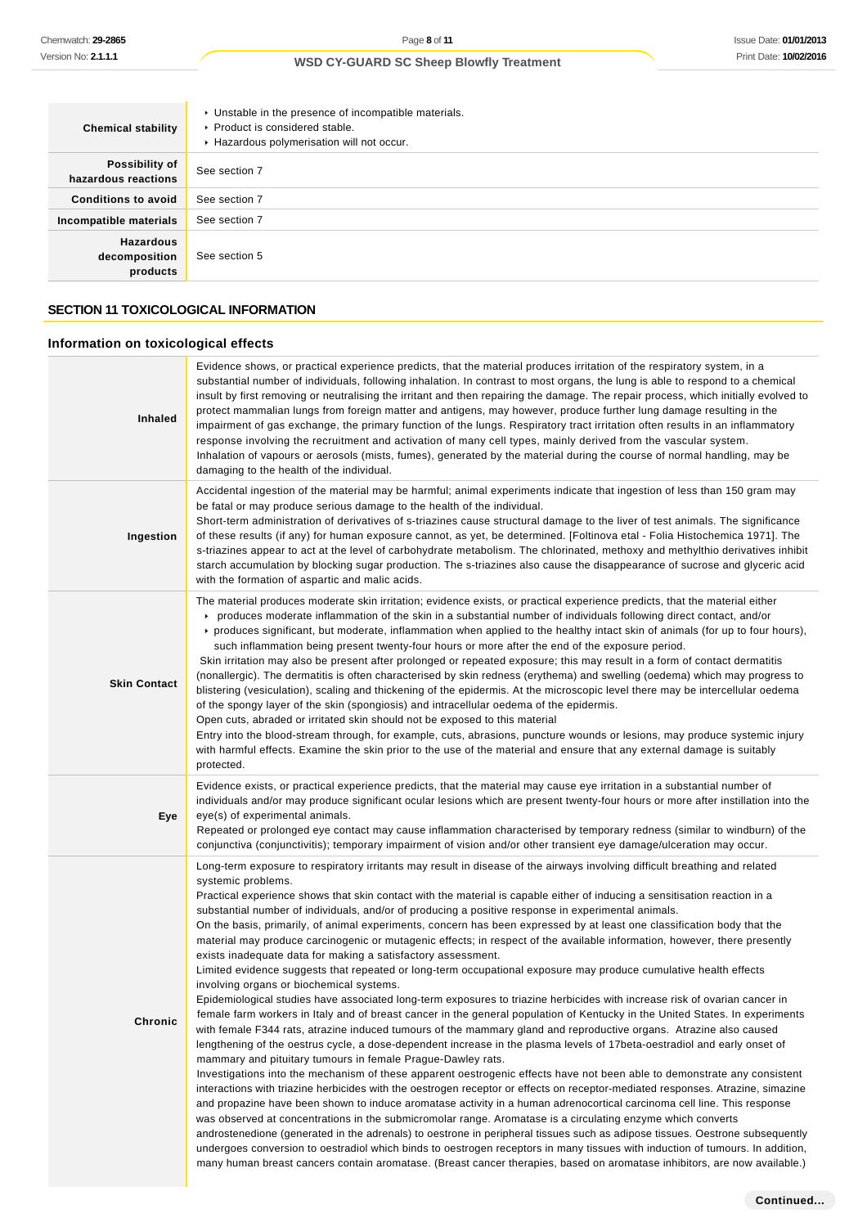| <b>Chemical stability</b>                     | • Unstable in the presence of incompatible materials.<br>▶ Product is considered stable.<br>Hazardous polymerisation will not occur. |
|-----------------------------------------------|--------------------------------------------------------------------------------------------------------------------------------------|
| Possibility of<br>hazardous reactions         | See section 7                                                                                                                        |
| <b>Conditions to avoid</b>                    | See section 7                                                                                                                        |
| Incompatible materials                        | See section 7                                                                                                                        |
| <b>Hazardous</b><br>decomposition<br>products | See section 5                                                                                                                        |

# **SECTION 11 TOXICOLOGICAL INFORMATION**

# **Information on toxicological effects**

| <b>Inhaled</b>      | Evidence shows, or practical experience predicts, that the material produces irritation of the respiratory system, in a<br>substantial number of individuals, following inhalation. In contrast to most organs, the lung is able to respond to a chemical<br>insult by first removing or neutralising the irritant and then repairing the damage. The repair process, which initially evolved to<br>protect mammalian lungs from foreign matter and antigens, may however, produce further lung damage resulting in the<br>impairment of gas exchange, the primary function of the lungs. Respiratory tract irritation often results in an inflammatory<br>response involving the recruitment and activation of many cell types, mainly derived from the vascular system.<br>Inhalation of vapours or aerosols (mists, fumes), generated by the material during the course of normal handling, may be<br>damaging to the health of the individual.                                                                                                                                                                                                                                                                                                                                                                                                                                                                                                                                                                                                                                                                                                                                                                                                                                                                                                                                                                                                                                                                                                                                                                                                                                                                                                                                                                                                                  |
|---------------------|---------------------------------------------------------------------------------------------------------------------------------------------------------------------------------------------------------------------------------------------------------------------------------------------------------------------------------------------------------------------------------------------------------------------------------------------------------------------------------------------------------------------------------------------------------------------------------------------------------------------------------------------------------------------------------------------------------------------------------------------------------------------------------------------------------------------------------------------------------------------------------------------------------------------------------------------------------------------------------------------------------------------------------------------------------------------------------------------------------------------------------------------------------------------------------------------------------------------------------------------------------------------------------------------------------------------------------------------------------------------------------------------------------------------------------------------------------------------------------------------------------------------------------------------------------------------------------------------------------------------------------------------------------------------------------------------------------------------------------------------------------------------------------------------------------------------------------------------------------------------------------------------------------------------------------------------------------------------------------------------------------------------------------------------------------------------------------------------------------------------------------------------------------------------------------------------------------------------------------------------------------------------------------------------------------------------------------------------------------------------|
| Ingestion           | Accidental ingestion of the material may be harmful; animal experiments indicate that ingestion of less than 150 gram may<br>be fatal or may produce serious damage to the health of the individual.<br>Short-term administration of derivatives of s-triazines cause structural damage to the liver of test animals. The significance<br>of these results (if any) for human exposure cannot, as yet, be determined. [Foltinova etal - Folia Histochemica 1971]. The<br>s-triazines appear to act at the level of carbohydrate metabolism. The chlorinated, methoxy and methylthio derivatives inhibit<br>starch accumulation by blocking sugar production. The s-triazines also cause the disappearance of sucrose and glyceric acid<br>with the formation of aspartic and malic acids.                                                                                                                                                                                                                                                                                                                                                                                                                                                                                                                                                                                                                                                                                                                                                                                                                                                                                                                                                                                                                                                                                                                                                                                                                                                                                                                                                                                                                                                                                                                                                                           |
| <b>Skin Contact</b> | The material produces moderate skin irritation; evidence exists, or practical experience predicts, that the material either<br>produces moderate inflammation of the skin in a substantial number of individuals following direct contact, and/or<br>▶ produces significant, but moderate, inflammation when applied to the healthy intact skin of animals (for up to four hours),<br>such inflammation being present twenty-four hours or more after the end of the exposure period.<br>Skin irritation may also be present after prolonged or repeated exposure; this may result in a form of contact dermatitis<br>(nonallergic). The dermatitis is often characterised by skin redness (erythema) and swelling (oedema) which may progress to<br>blistering (vesiculation), scaling and thickening of the epidermis. At the microscopic level there may be intercellular oedema<br>of the spongy layer of the skin (spongiosis) and intracellular oedema of the epidermis.<br>Open cuts, abraded or irritated skin should not be exposed to this material<br>Entry into the blood-stream through, for example, cuts, abrasions, puncture wounds or lesions, may produce systemic injury<br>with harmful effects. Examine the skin prior to the use of the material and ensure that any external damage is suitably<br>protected.                                                                                                                                                                                                                                                                                                                                                                                                                                                                                                                                                                                                                                                                                                                                                                                                                                                                                                                                                                                                                                |
| Eye                 | Evidence exists, or practical experience predicts, that the material may cause eye irritation in a substantial number of<br>individuals and/or may produce significant ocular lesions which are present twenty-four hours or more after instillation into the<br>eye(s) of experimental animals.<br>Repeated or prolonged eye contact may cause inflammation characterised by temporary redness (similar to windburn) of the<br>conjunctiva (conjunctivitis); temporary impairment of vision and/or other transient eye damage/ulceration may occur.                                                                                                                                                                                                                                                                                                                                                                                                                                                                                                                                                                                                                                                                                                                                                                                                                                                                                                                                                                                                                                                                                                                                                                                                                                                                                                                                                                                                                                                                                                                                                                                                                                                                                                                                                                                                                |
| Chronic             | Long-term exposure to respiratory irritants may result in disease of the airways involving difficult breathing and related<br>systemic problems.<br>Practical experience shows that skin contact with the material is capable either of inducing a sensitisation reaction in a<br>substantial number of individuals, and/or of producing a positive response in experimental animals.<br>On the basis, primarily, of animal experiments, concern has been expressed by at least one classification body that the<br>material may produce carcinogenic or mutagenic effects; in respect of the available information, however, there presently<br>exists inadequate data for making a satisfactory assessment.<br>Limited evidence suggests that repeated or long-term occupational exposure may produce cumulative health effects<br>involving organs or biochemical systems.<br>Epidemiological studies have associated long-term exposures to triazine herbicides with increase risk of ovarian cancer in<br>female farm workers in Italy and of breast cancer in the general population of Kentucky in the United States. In experiments<br>with female F344 rats, atrazine induced tumours of the mammary gland and reproductive organs. Atrazine also caused<br>lengthening of the oestrus cycle, a dose-dependent increase in the plasma levels of 17beta-oestradiol and early onset of<br>mammary and pituitary tumours in female Prague-Dawley rats.<br>Investigations into the mechanism of these apparent oestrogenic effects have not been able to demonstrate any consistent<br>interactions with triazine herbicides with the oestrogen receptor or effects on receptor-mediated responses. Atrazine, simazine<br>and propazine have been shown to induce aromatase activity in a human adrenocortical carcinoma cell line. This response<br>was observed at concentrations in the submicromolar range. Aromatase is a circulating enzyme which converts<br>androstenedione (generated in the adrenals) to oestrone in peripheral tissues such as adipose tissues. Oestrone subsequently<br>undergoes conversion to oestradiol which binds to oestrogen receptors in many tissues with induction of tumours. In addition,<br>many human breast cancers contain aromatase. (Breast cancer therapies, based on aromatase inhibitors, are now available.) |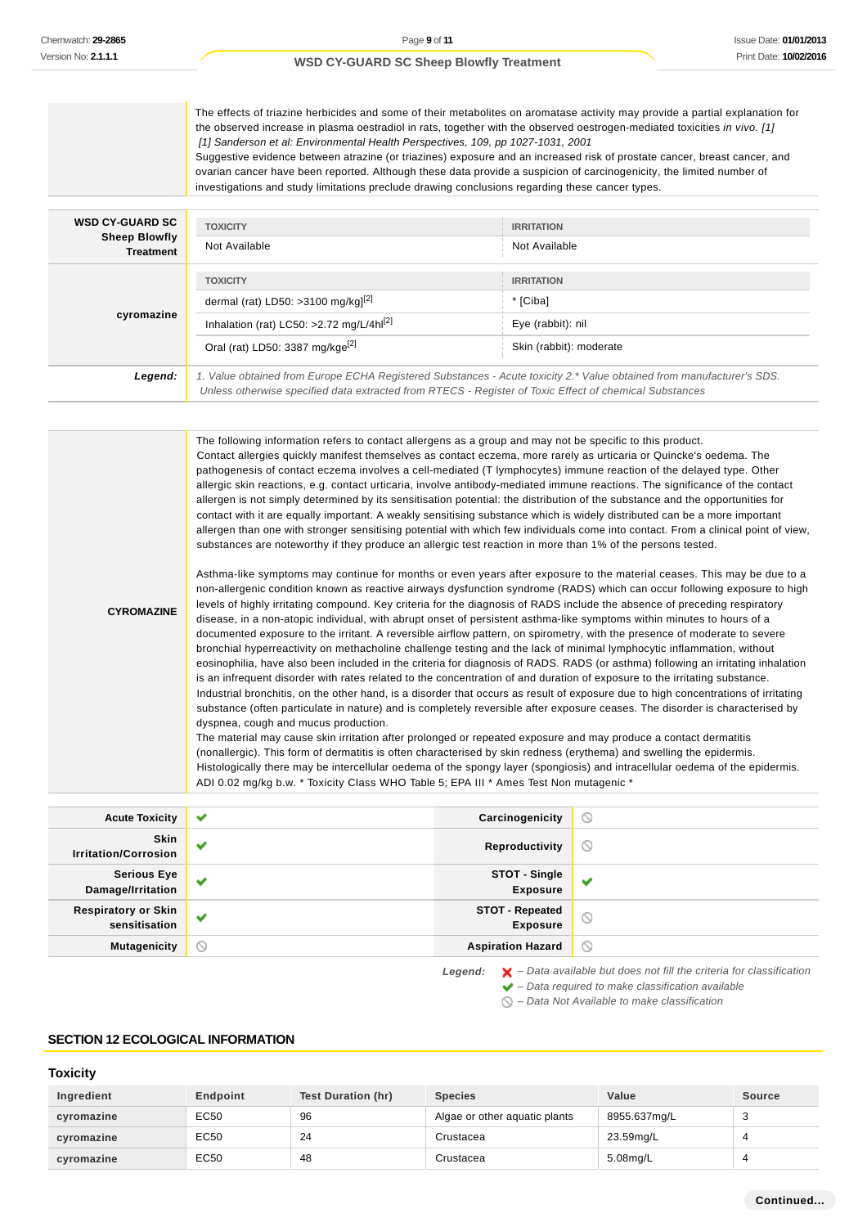The effects of triazine herbicides and some of their metabolites on aromatase activity may provide a partial explanation for the observed increase in plasma oestradiol in rats, together with the observed oestrogen-mediated toxicities in vivo. [1] [1] Sanderson et al: Environmental Health Perspectives, 109, pp 1027-1031, 2001

Suggestive evidence between atrazine (or triazines) exposure and an increased risk of prostate cancer, breast cancer, and ovarian cancer have been reported. Although these data provide a suspicion of carcinogenicity, the limited number of investigations and study limitations preclude drawing conclusions regarding these cancer types.

| <b>WSD CY-GUARD SC</b><br><b>Sheep Blowfly</b><br><b>Treatment</b> | <b>TOXICITY</b>                                                                                                                                                                                                                 | <b>IRRITATION</b>       |
|--------------------------------------------------------------------|---------------------------------------------------------------------------------------------------------------------------------------------------------------------------------------------------------------------------------|-------------------------|
|                                                                    | Not Available                                                                                                                                                                                                                   | Not Available           |
| cyromazine                                                         | <b>TOXICITY</b>                                                                                                                                                                                                                 | <b>IRRITATION</b>       |
|                                                                    | dermal (rat) LD50: >3100 mg/kg $l^{\left[2\right]}$                                                                                                                                                                             | * [Ciba]                |
|                                                                    | Inhalation (rat) LC50: >2.72 mg/L/4h $l[2]$                                                                                                                                                                                     | Eye (rabbit): nil       |
|                                                                    | Oral (rat) LD50: 3387 mg/kge <sup>[2]</sup>                                                                                                                                                                                     | Skin (rabbit): moderate |
| Legend:                                                            | 1. Value obtained from Europe ECHA Registered Substances - Acute toxicity 2.* Value obtained from manufacturer's SDS.<br>Unless otherwise specified data extracted from RTECS - Register of Toxic Effect of chemical Substances |                         |

The following information refers to contact allergens as a group and may not be specific to this product. Contact allergies quickly manifest themselves as contact eczema, more rarely as urticaria or Quincke's oedema. The pathogenesis of contact eczema involves a cell-mediated (T lymphocytes) immune reaction of the delayed type. Other allergic skin reactions, e.g. contact urticaria, involve antibody-mediated immune reactions. The significance of the contact allergen is not simply determined by its sensitisation potential: the distribution of the substance and the opportunities for contact with it are equally important. A weakly sensitising substance which is widely distributed can be a more important allergen than one with stronger sensitising potential with which few individuals come into contact. From a clinical point of view, substances are noteworthy if they produce an allergic test reaction in more than 1% of the persons tested.

**CYROMAZINE**

Asthma-like symptoms may continue for months or even years after exposure to the material ceases. This may be due to a non-allergenic condition known as reactive airways dysfunction syndrome (RADS) which can occur following exposure to high levels of highly irritating compound. Key criteria for the diagnosis of RADS include the absence of preceding respiratory disease, in a non-atopic individual, with abrupt onset of persistent asthma-like symptoms within minutes to hours of a documented exposure to the irritant. A reversible airflow pattern, on spirometry, with the presence of moderate to severe bronchial hyperreactivity on methacholine challenge testing and the lack of minimal lymphocytic inflammation, without eosinophilia, have also been included in the criteria for diagnosis of RADS. RADS (or asthma) following an irritating inhalation is an infrequent disorder with rates related to the concentration of and duration of exposure to the irritating substance. Industrial bronchitis, on the other hand, is a disorder that occurs as result of exposure due to high concentrations of irritating substance (often particulate in nature) and is completely reversible after exposure ceases. The disorder is characterised by dyspnea, cough and mucus production.

The material may cause skin irritation after prolonged or repeated exposure and may produce a contact dermatitis (nonallergic). This form of dermatitis is often characterised by skin redness (erythema) and swelling the epidermis. Histologically there may be intercellular oedema of the spongy layer (spongiosis) and intracellular oedema of the epidermis. ADI 0.02 mg/kg b.w. \* Toxicity Class WHO Table 5; EPA III \* Ames Test Non mutagenic \*

| <b>Acute Toxicity</b>                       | $\checkmark$ | Carcinogenicity                           | $\circ$        |
|---------------------------------------------|--------------|-------------------------------------------|----------------|
| <b>Skin</b><br><b>Irritation/Corrosion</b>  | w            | Reproductivity                            | $\circledcirc$ |
| <b>Serious Eye</b><br>Damage/Irritation     | $\checkmark$ | STOT - Single<br><b>Exposure</b>          | ັ              |
| <b>Respiratory or Skin</b><br>sensitisation | $\checkmark$ | <b>STOT - Repeated</b><br><b>Exposure</b> | $\odot$        |
| <b>Mutagenicity</b>                         | $\circ$      | <b>Aspiration Hazard</b>                  | $\circledcirc$ |

Legend:  $\mathsf{X}$  – Data available but does not fill the criteria for classification

 $\blacktriangleright$  – Data required to make classification available  $\bigcirc$  – Data Not Available to make classification

### **SECTION 12 ECOLOGICAL INFORMATION**

# **Toxicity**

| Ingredient | Endpoint | <b>Test Duration (hr)</b> | <b>Species</b>                | Value        | <b>Source</b> |
|------------|----------|---------------------------|-------------------------------|--------------|---------------|
| cyromazine | EC50     | 96                        | Algae or other aquatic plants | 8955.637mg/L |               |
| cyromazine | EC50     | 24                        | Crustacea                     | 23.59mg/L    |               |
| cyromazine | EC50     | 48                        | Crustacea                     | 5.08mg/L     |               |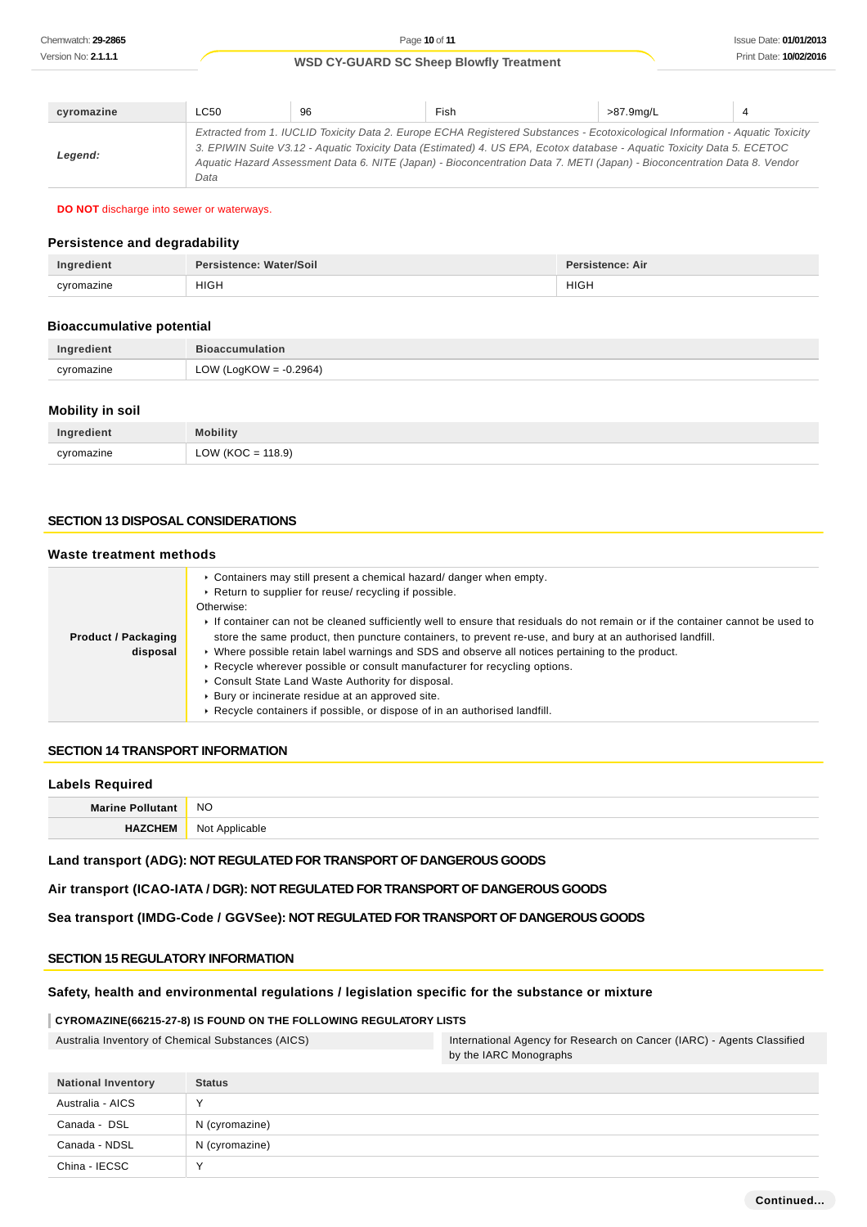| cyromazine | LC50 | 96 | Fish                                                                                                                                                                                                                                                                                                                                                                                | >87.9ma/L |  |
|------------|------|----|-------------------------------------------------------------------------------------------------------------------------------------------------------------------------------------------------------------------------------------------------------------------------------------------------------------------------------------------------------------------------------------|-----------|--|
| Legend:    | Data |    | Extracted from 1. IUCLID Toxicity Data 2. Europe ECHA Registered Substances - Ecotoxicological Information - Aquatic Toxicity<br>3. EPIWIN Suite V3.12 - Aquatic Toxicity Data (Estimated) 4. US EPA, Ecotox database - Aquatic Toxicity Data 5. ECETOC<br>Aquatic Hazard Assessment Data 6. NITE (Japan) - Bioconcentration Data 7. METI (Japan) - Bioconcentration Data 8. Vendor |           |  |

#### **DO NOT** discharge into sewer or waterways.

### **Persistence and degradability**

| Ingredient | Persistence: Water/Soil | <b>Persistence: Air</b> |
|------------|-------------------------|-------------------------|
| cyromazine | <b>HIGH</b>             | <b>HIGH</b><br>____     |

#### **Bioaccumulative potential**

| Ingredient | <b>Bioaccumulation</b>    |
|------------|---------------------------|
| cvromazine | LOW (LogKOW = $-0.2964$ ) |

### **Mobility in soil**

| Ingredient | <b>Mobility</b>      |
|------------|----------------------|
| cyromazine | LOW (KOC = $118.9$ ) |

### **SECTION 13 DISPOSAL CONSIDERATIONS**

#### **Waste treatment methods**

|                                        | ► Containers may still present a chemical hazard/ danger when empty.<br>▶ Return to supplier for reuse/ recycling if possible.<br>Otherwise:                                                                  |
|----------------------------------------|---------------------------------------------------------------------------------------------------------------------------------------------------------------------------------------------------------------|
|                                        | If container can not be cleaned sufficiently well to ensure that residuals do not remain or if the container cannot be used to                                                                                |
| <b>Product / Packaging</b><br>disposal | store the same product, then puncture containers, to prevent re-use, and bury at an authorised landfill.<br>► Where possible retain label warnings and SDS and observe all notices pertaining to the product. |
|                                        | ► Recycle wherever possible or consult manufacturer for recycling options.<br>Consult State Land Waste Authority for disposal.                                                                                |
|                                        | ▶ Bury or incinerate residue at an approved site.                                                                                                                                                             |
|                                        | ► Recycle containers if possible, or dispose of in an authorised landfill.                                                                                                                                    |

#### **SECTION 14 TRANSPORT INFORMATION**

#### **Labels Required**

| Marin | <b>NO</b>                        |
|-------|----------------------------------|
|       | Not<br>··· ¤nnlican≀o<br>.<br>__ |

**Land transport (ADG): NOT REGULATED FOR TRANSPORT OF DANGEROUS GOODS**

**Air transport (ICAO-IATA / DGR): NOT REGULATED FOR TRANSPORT OF DANGEROUS GOODS**

**Sea transport (IMDG-Code / GGVSee): NOT REGULATED FOR TRANSPORT OF DANGEROUS GOODS**

### **SECTION 15 REGULATORY INFORMATION**

### **Safety, health and environmental regulations / legislation specific for the substance or mixture**

### **CYROMAZINE(66215-27-8) IS FOUND ON THE FOLLOWING REGULATORY LISTS**

| Australia Inventory of Chemical Substances (AICS) | International Agency for Research on Cancer (IARC) - Agents Classified |
|---------------------------------------------------|------------------------------------------------------------------------|
|                                                   | by the IARC Monographs                                                 |

| <b>National Inventory</b> | <b>Status</b>  |
|---------------------------|----------------|
| Australia - AICS          | $\lambda$      |
| Canada - DSL              | N (cyromazine) |
| Canada - NDSL             | N (cyromazine) |
| China - IECSC             | v              |